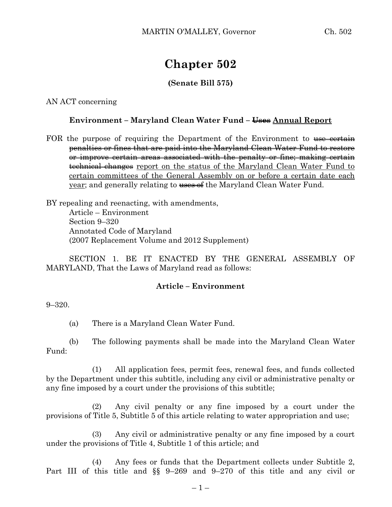# **Chapter 502**

## **(Senate Bill 575)**

#### AN ACT concerning

#### **Environment – Maryland Clean Water Fund – Uses Annual Report**

FOR the purpose of requiring the Department of the Environment to use certain penalties or fines that are paid into the Maryland Clean Water Fund to restore or improve certain areas associated with the penalty or fine; making certain technical changes report on the status of the Maryland Clean Water Fund to certain committees of the General Assembly on or before a certain date each year; and generally relating to uses of the Maryland Clean Water Fund.

BY repealing and reenacting, with amendments, Article – Environment Section 9–320 Annotated Code of Maryland (2007 Replacement Volume and 2012 Supplement)

SECTION 1. BE IT ENACTED BY THE GENERAL ASSEMBLY OF MARYLAND, That the Laws of Maryland read as follows:

## **Article – Environment**

9–320.

(a) There is a Maryland Clean Water Fund.

(b) The following payments shall be made into the Maryland Clean Water Fund:

(1) All application fees, permit fees, renewal fees, and funds collected by the Department under this subtitle, including any civil or administrative penalty or any fine imposed by a court under the provisions of this subtitle;

(2) Any civil penalty or any fine imposed by a court under the provisions of Title 5, Subtitle 5 of this article relating to water appropriation and use;

(3) Any civil or administrative penalty or any fine imposed by a court under the provisions of Title 4, Subtitle 1 of this article; and

(4) Any fees or funds that the Department collects under Subtitle 2, Part III of this title and §§ 9–269 and 9–270 of this title and any civil or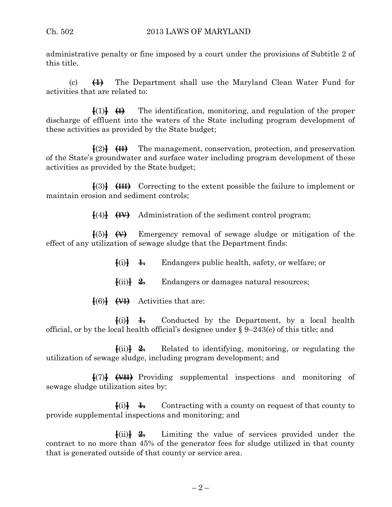administrative penalty or fine imposed by a court under the provisions of Subtitle 2 of this title.

(c) **(1)** The Department shall use the Maryland Clean Water Fund for activities that are related to:

 $\{(\cdot)\}\$   $\{(\cdot)\}\$  The identification, monitoring, and regulation of the proper discharge of effluent into the waters of the State including program development of these activities as provided by the State budget;

**[**(2)**] (II)** The management, conservation, protection, and preservation of the State's groundwater and surface water including program development of these activities as provided by the State budget;

**[**(3)**] (III)** Correcting to the extent possible the failure to implement or maintain erosion and sediment controls;

**[**(4)**] (IV)** Administration of the sediment control program;

**[**(5)**] (V)** Emergency removal of sewage sludge or mitigation of the effect of any utilization of sewage sludge that the Department finds:

 $\{i\}$   $\downarrow$  Endangers public health, safety, or welfare; or

**[**(ii)**] 2.** Endangers or damages natural resources;

**[**(6)**] (VI)** Activities that are:

 $\{i\}$  **1.** Conducted by the Department, by a local health official, or by the local health official's designee under § 9–243(e) of this title; and

**[**(ii)**] 2.** Related to identifying, monitoring, or regulating the utilization of sewage sludge, including program development; and

**[**(7)**] (VII)** Providing supplemental inspections and monitoring of sewage sludge utilization sites by:

 $\{i\}$  **1.** Contracting with a county on request of that county to provide supplemental inspections and monitoring; and

**[**(ii)**] 2.** Limiting the value of services provided under the contract to no more than 45% of the generator fees for sludge utilized in that county that is generated outside of that county or service area.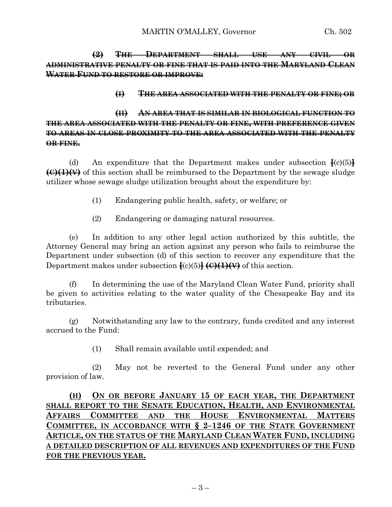**(2) THE DEPARTMENT SHALL USE ANY CIVIL OR ADMINISTRATIVE PENALTY OR FINE THAT IS PAID INTO THE MARYLAND CLEAN WATER FUND TO RESTORE OR IMPROVE:**

#### **(I) THE AREA ASSOCIATED WITH THE PENALTY OR FINE; OR**

## **(II) AN AREA THAT IS SIMILAR IN BIOLOGICAL FUNCTION TO THE AREA ASSOCIATED WITH THE PENALTY OR FINE, WITH PREFERENCE GIVEN TO AREAS IN CLOSE PROXIMITY TO THE AREA ASSOCIATED WITH THE PENALTY OR FINE.**

(d) An expenditure that the Department makes under subsection  $\frac{1}{2}$ (c)(5) $\frac{1}{2}$ **(C)(1)(V)** of this section shall be reimbursed to the Department by the sewage sludge utilizer whose sewage sludge utilization brought about the expenditure by:

- (1) Endangering public health, safety, or welfare; or
- (2) Endangering or damaging natural resources.

(e) In addition to any other legal action authorized by this subtitle, the Attorney General may bring an action against any person who fails to reimburse the Department under subsection (d) of this section to recover any expenditure that the Department makes under subsection **[**(c)(5)**] (C)(1)(V)** of this section.

(f) In determining the use of the Maryland Clean Water Fund, priority shall be given to activities relating to the water quality of the Chesapeake Bay and its tributaries.

(g) Notwithstanding any law to the contrary, funds credited and any interest accrued to the Fund:

(1) Shall remain available until expended; and

(2) May not be reverted to the General Fund under any other provision of law.

# **(H) ON OR BEFORE JANUARY 15 OF EACH YEAR, THE DEPARTMENT SHALL REPORT TO THE SENATE EDUCATION, HEALTH, AND ENVIRONMENTAL AFFAIRS COMMITTEE AND THE HOUSE ENVIRONMENTAL MATTERS COMMITTEE, IN ACCORDANCE WITH § 2–1246 OF THE STATE GOVERNMENT ARTICLE, ON THE STATUS OF THE MARYLAND CLEAN WATER FUND, INCLUDING A DETAILED DESCRIPTION OF ALL REVENUES AND EXPENDITURES OF THE FUND FOR THE PREVIOUS YEAR.**